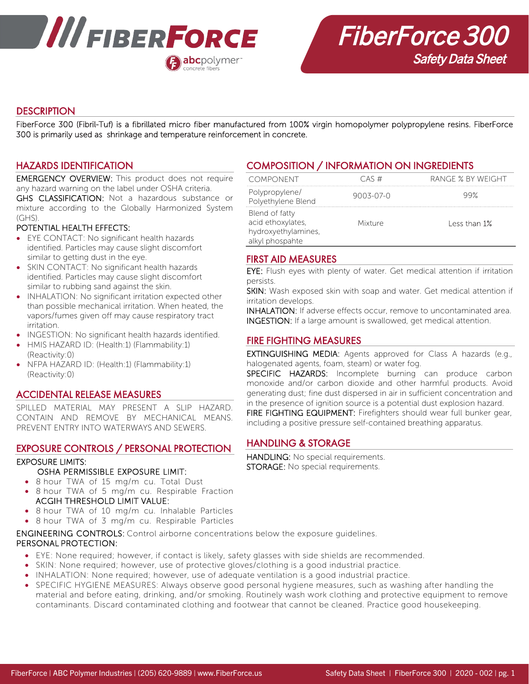

# **DESCRIPTION**

FiberForce 300 (Fibril-Tuf) is a fibrillated micro fiber manufactured from 100% virgin homopolymer polypropylene resins. FiberForce 300 is primarily used as shrinkage and temperature reinforcement in concrete.

# HAZARDS IDENTIFICATION

EMERGENCY OVERVIEW: This product does not require any hazard warning on the label under OSHA criteria.

GHS CLASSIFICATION: Not a hazardous substance or mixture according to the Globally Harmonized System (GHS).

#### POTENTIAL HEALTH EFFECTS:

- EYE CONTACT: No significant health hazards identified. Particles may cause slight discomfort similar to getting dust in the eye.
- SKIN CONTACT: No significant health hazards identified. Particles may cause slight discomfort similar to rubbing sand against the skin.
- INHALATION: No significant irritation expected other than possible mechanical irritation. When heated, the vapors/fumes given off may cause respiratory tract irritation.
- INGESTION: No significant health hazards identified.
- HMIS HAZARD ID: (Health:1) (Flammability:1) (Reactivity:0)
- NFPA HAZARD ID: (Health:1) (Flammability:1) (Reactivity:0)

## ACCIDENTAL RELEASE MEASURES

SPILLED MATERIAL MAY PRESENT A SLIP HAZARD. CONTAIN AND REMOVE BY MECHANICAL MEANS. PREVENT ENTRY INTO WATERWAYS AND SEWERS.

## EXPOSURE CONTROLS / PERSONAL PROTECTION

#### EXPOSURE LIMITS:

- OSHA PERMISSIBLE EXPOSURE LIMIT:
- 8 hour TWA of 15 mg/m cu. Total Dust
- 8 hour TWA of 5 mg/m cu. Respirable Fraction ACGIH THRESHOLD LIMIT VALUE:
- 8 hour TWA of 10 mg/m cu. Inhalable Particles
- 8 hour TWA of 3 mg/m cu. Respirable Particles

ENGINEERING CONTROLS: Control airborne concentrations below the exposure guidelines. PERSONAL PROTECTION:

- EYE: None required; however, if contact is likely, safety glasses with side shields are recommended.
- SKIN: None required; however, use of protective gloves/clothing is a good industrial practice.
- INHALATION: None required; however, use of adequate ventilation is a good industrial practice.
- SPECIFIC HYGIENE MEASURES: Always observe good personal hygiene measures, such as washing after handling the material and before eating, drinking, and/or smoking. Routinely wash work clothing and protective equipment to remove contaminants. Discard contaminated clothing and footwear that cannot be cleaned. Practice good housekeeping.

# COMPOSITION / INFORMATION ON INGREDIENTS

| <b>COMPONENT</b>                                                              | CAS#            | RANGE % BY WEIGHT |
|-------------------------------------------------------------------------------|-----------------|-------------------|
| Polypropylene/<br>Polyethylene Blend                                          | $9003 - 07 - 0$ | 99%               |
| Blend of fatty<br>acid ethoxylates,<br>hydroxyethylamines,<br>alkyl phospahte | <b>Mixture</b>  | Less than 1%      |

# FIRST AID MEASURES

EYE: Flush eyes with plenty of water. Get medical attention if irritation persists.

SKIN: Wash exposed skin with soap and water. Get medical attention if irritation develops.

INHALATION: If adverse effects occur, remove to uncontaminated area. INGESTION: If a large amount is swallowed, get medical attention.

### FIRE FIGHTING MEASURES

EXTINGUISHING MEDIA: Agents approved for Class A hazards (e.g., halogenated agents, foam, steam) or water fog.

SPECIFIC HAZARDS: Incomplete burning can produce carbon monoxide and/or carbon dioxide and other harmful products. Avoid generating dust; fine dust dispersed in air in sufficient concentration and in the presence of ignition source is a potential dust explosion hazard. FIRE FIGHTING EQUIPMENT: Firefighters should wear full bunker gear, including a positive pressure self-contained breathing apparatus.

# HANDLING & STORAGE

HANDLING: No special requirements. STORAGE: No special requirements.